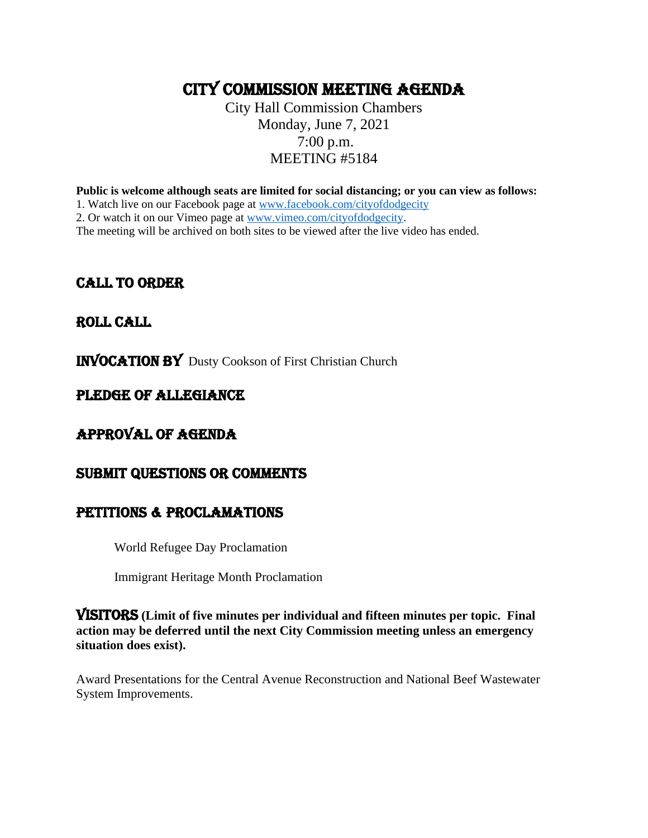# CITY COMMISSION MEETING AGENDA

City Hall Commission Chambers Monday, June 7, 2021 7:00 p.m. MEETING #5184

**Public is welcome although seats are limited for social distancing; or you can view as follows:**

1. Watch live on our Facebook page at [www.facebook.com/cityofdodgecity](http://www.facebook.com/cityofdodgecity)

2. Or watch it on our Vimeo page at [www.vimeo.com/cityofdodgecity.](http://www.vimeo.com/cityofdodgecity)

The meeting will be archived on both sites to be viewed after the live video has ended.

## CALL TO ORDER

## ROLL CALL

INVOCATION by Dusty Cookson of First Christian Church

## PLEDGE OF ALLEGIANCE

## APPROVAL OF AGENDA

## SUBMIT QUESTIONS OR COMMENTS

## PETITIONS & PROCLAMATIONS

World Refugee Day Proclamation

Immigrant Heritage Month Proclamation

VISITORS **(Limit of five minutes per individual and fifteen minutes per topic. Final action may be deferred until the next City Commission meeting unless an emergency situation does exist).**

Award Presentations for the Central Avenue Reconstruction and National Beef Wastewater System Improvements.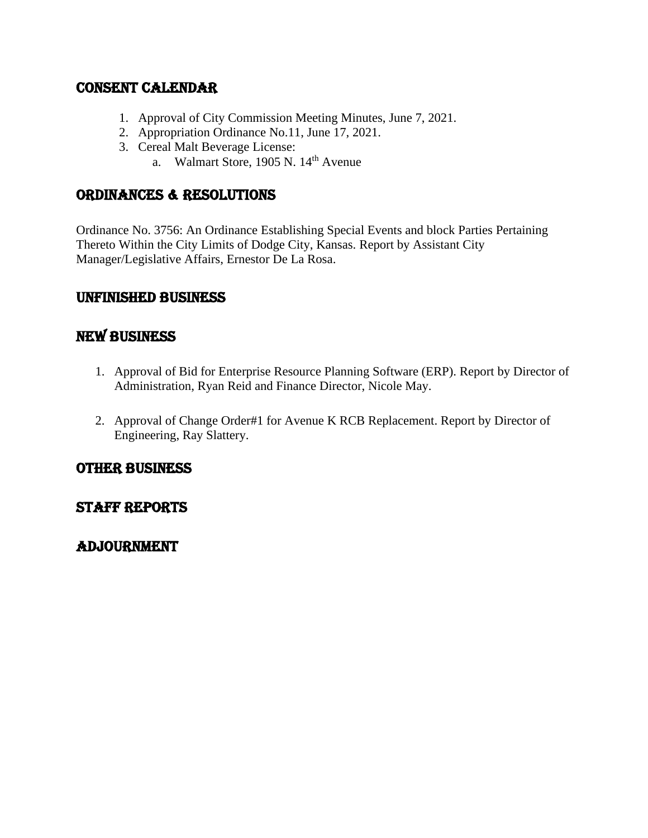## CONSENT CALENDAR

- 1. Approval of City Commission Meeting Minutes, June 7, 2021.
- 2. Appropriation Ordinance No.11, June 17, 2021.
- 3. Cereal Malt Beverage License:
	- a. Walmart Store, 1905 N. 14<sup>th</sup> Avenue

## ORDINANCES & RESOLUTIONS

Ordinance No. 3756: An Ordinance Establishing Special Events and block Parties Pertaining Thereto Within the City Limits of Dodge City, Kansas. Report by Assistant City Manager/Legislative Affairs, Ernestor De La Rosa.

## UNFINISHED BUSINESS

## NEW BUSINESS

- 1. Approval of Bid for Enterprise Resource Planning Software (ERP). Report by Director of Administration, Ryan Reid and Finance Director, Nicole May.
- 2. Approval of Change Order#1 for Avenue K RCB Replacement. Report by Director of Engineering, Ray Slattery.

## OTHER BUSINESS

## Staff reports

## ADJOURNMENT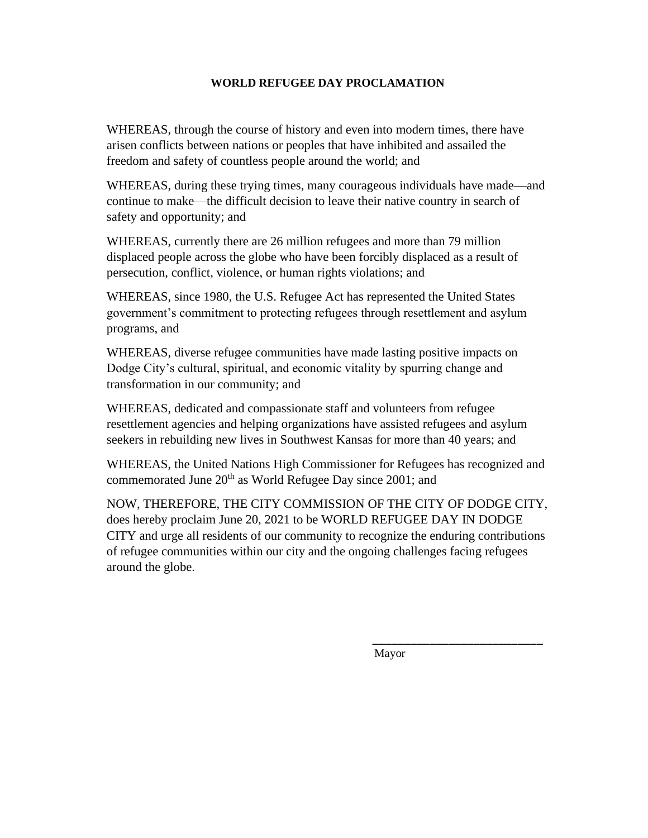#### **WORLD REFUGEE DAY PROCLAMATION**

WHEREAS, through the course of history and even into modern times, there have arisen conflicts between nations or peoples that have inhibited and assailed the freedom and safety of countless people around the world; and

WHEREAS, during these trying times, many courageous individuals have made—and continue to make—the difficult decision to leave their native country in search of safety and opportunity; and

WHEREAS, currently there are 26 million refugees and more than 79 million displaced people across the globe who have been forcibly displaced as a result of persecution, conflict, violence, or human rights violations; and

WHEREAS, since 1980, the U.S. Refugee Act has represented the United States government's commitment to protecting refugees through resettlement and asylum programs, and

WHEREAS, diverse refugee communities have made lasting positive impacts on Dodge City's cultural, spiritual, and economic vitality by spurring change and transformation in our community; and

WHEREAS, dedicated and compassionate staff and volunteers from refugee resettlement agencies and helping organizations have assisted refugees and asylum seekers in rebuilding new lives in Southwest Kansas for more than 40 years; and

WHEREAS, the United Nations High Commissioner for Refugees has recognized and commemorated June 20<sup>th</sup> as World Refugee Day since 2001; and

NOW, THEREFORE, THE CITY COMMISSION OF THE CITY OF DODGE CITY, does hereby proclaim June 20, 2021 to be WORLD REFUGEE DAY IN DODGE CITY and urge all residents of our community to recognize the enduring contributions of refugee communities within our city and the ongoing challenges facing refugees around the globe.

Mayor

*\_\_\_\_\_\_\_\_\_\_\_\_\_\_\_\_\_\_\_\_\_\_\_\_\_\_\_*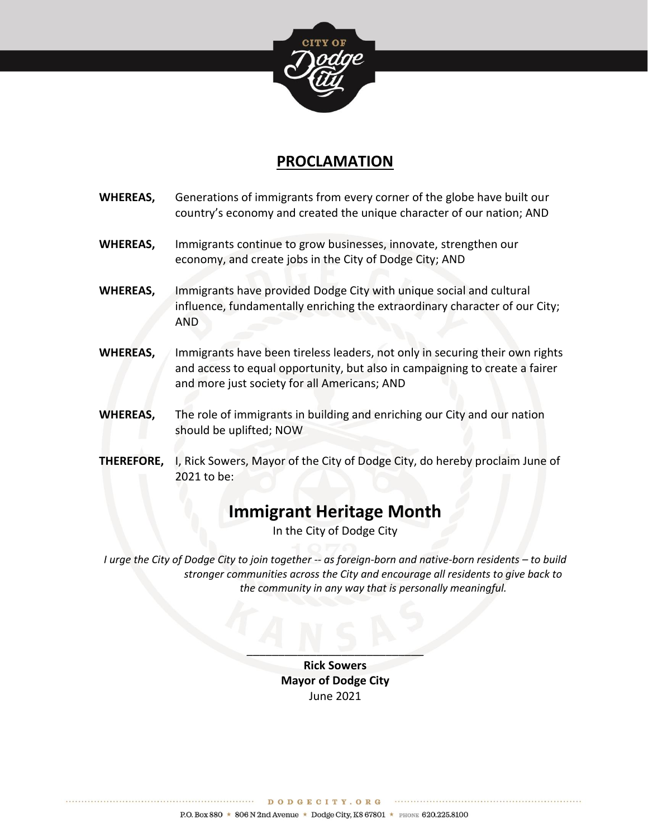

## **PROCLAMATION**

**WHEREAS,** Generations of immigrants from every corner of the globe have built our country's economy and created the unique character of our nation; AND **WHEREAS,** Immigrants continue to grow businesses, innovate, strengthen our economy, and create jobs in the City of Dodge City; AND **WHEREAS,** Immigrants have provided Dodge City with unique social and cultural influence, fundamentally enriching the extraordinary character of our City; AND **WHEREAS,** Immigrants have been tireless leaders, not only in securing their own rights and access to equal opportunity, but also in campaigning to create a fairer and more just society for all Americans; AND **WHEREAS,** The role of immigrants in building and enriching our City and our nation should be uplifted; NOW **THEREFORE,** I, Rick Sowers, Mayor of the City of Dodge City, do hereby proclaim June of 2021 to be:

# **Immigrant Heritage Month**

In the City of Dodge City

*I* urge the City of Dodge City to join together -- as foreign-born and native-born residents – to build *stronger communities across the City and encourage all residents to give back to the community in any way that is personally meaningful.* 

> **Rick Sowers Mayor of Dodge City** June 2021

 $\frac{1}{2}$   $\frac{1}{2}$   $\frac{1}{2}$   $\frac{1}{2}$   $\frac{1}{2}$ 

................ DODGECITY.ORG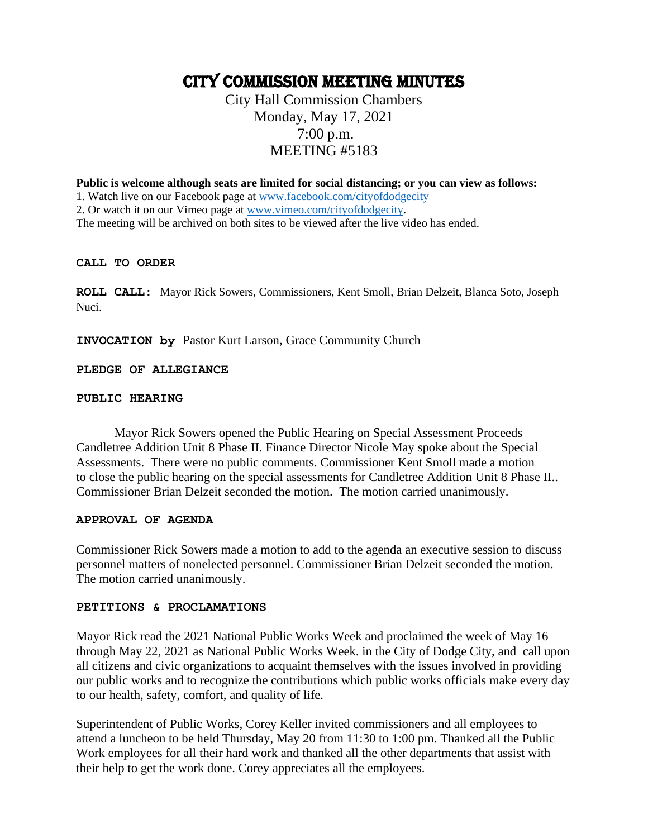## CITY COMMISSION MEETING MINUTES

## City Hall Commission Chambers Monday, May 17, 2021 7:00 p.m. MEETING #5183

**Public is welcome although seats are limited for social distancing; or you can view as follows:**

1. Watch live on our Facebook page at [www.facebook.com/cityofdodgecity](http://www.facebook.com/cityofdodgecity)

2. Or watch it on our Vimeo page at [www.vimeo.com/cityofdodgecity.](http://www.vimeo.com/cityofdodgecity)

The meeting will be archived on both sites to be viewed after the live video has ended.

#### **CALL TO ORDER**

**ROLL CALL:** Mayor Rick Sowers, Commissioners, Kent Smoll, Brian Delzeit, Blanca Soto, Joseph Nuci.

**INVOCATION by** Pastor Kurt Larson, Grace Community Church

**PLEDGE OF ALLEGIANCE** 

#### **PUBLIC HEARING**

Mayor Rick Sowers opened the Public Hearing on Special Assessment Proceeds – Candletree Addition Unit 8 Phase II. Finance Director Nicole May spoke about the Special Assessments. There were no public comments. Commissioner Kent Smoll made a motion to close the public hearing on the special assessments for Candletree Addition Unit 8 Phase II.. Commissioner Brian Delzeit seconded the motion. The motion carried unanimously.

#### **APPROVAL OF AGENDA**

Commissioner Rick Sowers made a motion to add to the agenda an executive session to discuss personnel matters of nonelected personnel. Commissioner Brian Delzeit seconded the motion. The motion carried unanimously.

#### **PETITIONS & PROCLAMATIONS**

Mayor Rick read the 2021 National Public Works Week and proclaimed the week of May 16 through May 22, 2021 as National Public Works Week. in the City of Dodge City, and call upon all citizens and civic organizations to acquaint themselves with the issues involved in providing our public works and to recognize the contributions which public works officials make every day to our health, safety, comfort, and quality of life.

Superintendent of Public Works, Corey Keller invited commissioners and all employees to attend a luncheon to be held Thursday, May 20 from 11:30 to 1:00 pm. Thanked all the Public Work employees for all their hard work and thanked all the other departments that assist with their help to get the work done. Corey appreciates all the employees.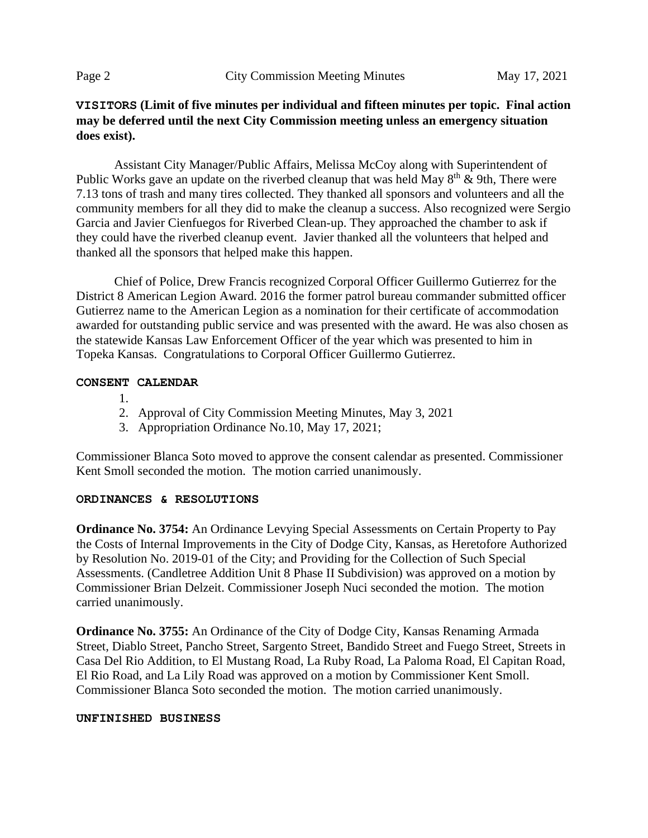### **VISITORS (Limit of five minutes per individual and fifteen minutes per topic. Final action may be deferred until the next City Commission meeting unless an emergency situation does exist).**

Assistant City Manager/Public Affairs, Melissa McCoy along with Superintendent of Public Works gave an update on the riverbed cleanup that was held May  $8<sup>th</sup>$  & 9th, There were 7.13 tons of trash and many tires collected. They thanked all sponsors and volunteers and all the community members for all they did to make the cleanup a success. Also recognized were Sergio Garcia and Javier Cienfuegos for Riverbed Clean-up. They approached the chamber to ask if they could have the riverbed cleanup event. Javier thanked all the volunteers that helped and thanked all the sponsors that helped make this happen.

Chief of Police, Drew Francis recognized Corporal Officer Guillermo Gutierrez for the District 8 American Legion Award. 2016 the former patrol bureau commander submitted officer Gutierrez name to the American Legion as a nomination for their certificate of accommodation awarded for outstanding public service and was presented with the award. He was also chosen as the statewide Kansas Law Enforcement Officer of the year which was presented to him in Topeka Kansas. Congratulations to Corporal Officer Guillermo Gutierrez.

#### **CONSENT CALENDAR**

- 1.
- 2. Approval of City Commission Meeting Minutes, May 3, 2021
- 3. Appropriation Ordinance No.10, May 17, 2021;

Commissioner Blanca Soto moved to approve the consent calendar as presented. Commissioner Kent Smoll seconded the motion. The motion carried unanimously.

#### **ORDINANCES & RESOLUTIONS**

**Ordinance No. 3754:** An Ordinance Levying Special Assessments on Certain Property to Pay the Costs of Internal Improvements in the City of Dodge City, Kansas, as Heretofore Authorized by Resolution No. 2019-01 of the City; and Providing for the Collection of Such Special Assessments. (Candletree Addition Unit 8 Phase II Subdivision) was approved on a motion by Commissioner Brian Delzeit. Commissioner Joseph Nuci seconded the motion. The motion carried unanimously.

**Ordinance No. 3755:** An Ordinance of the City of Dodge City, Kansas Renaming Armada Street, Diablo Street, Pancho Street, Sargento Street, Bandido Street and Fuego Street, Streets in Casa Del Rio Addition, to El Mustang Road, La Ruby Road, La Paloma Road, El Capitan Road, El Rio Road, and La Lily Road was approved on a motion by Commissioner Kent Smoll. Commissioner Blanca Soto seconded the motion. The motion carried unanimously.

#### **UNFINISHED BUSINESS**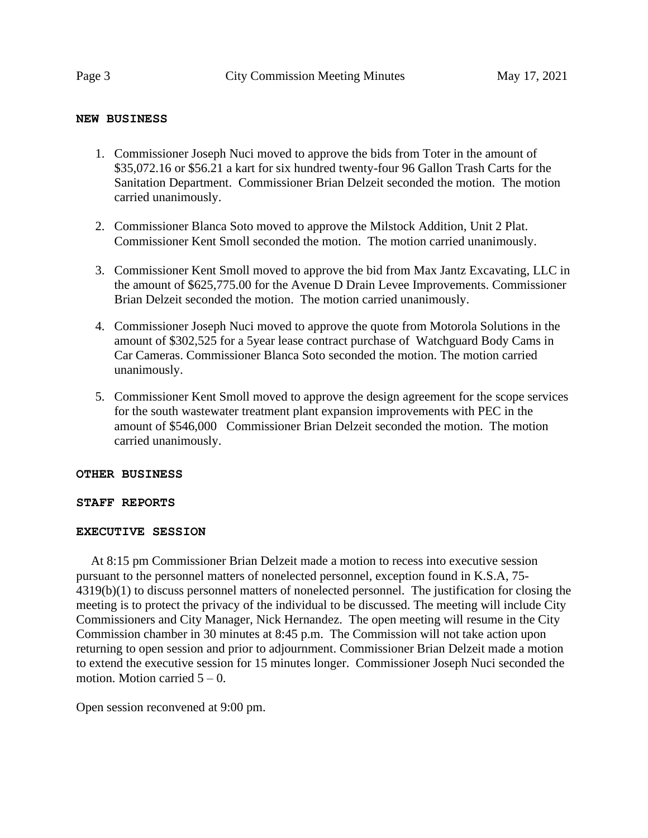#### **NEW BUSINESS**

- 1. Commissioner Joseph Nuci moved to approve the bids from Toter in the amount of \$35,072.16 or \$56.21 a kart for six hundred twenty-four 96 Gallon Trash Carts for the Sanitation Department. Commissioner Brian Delzeit seconded the motion. The motion carried unanimously.
- 2. Commissioner Blanca Soto moved to approve the Milstock Addition, Unit 2 Plat. Commissioner Kent Smoll seconded the motion. The motion carried unanimously.
- 3. Commissioner Kent Smoll moved to approve the bid from Max Jantz Excavating, LLC in the amount of \$625,775.00 for the Avenue D Drain Levee Improvements. Commissioner Brian Delzeit seconded the motion. The motion carried unanimously.
- 4. Commissioner Joseph Nuci moved to approve the quote from Motorola Solutions in the amount of \$302,525 for a 5year lease contract purchase of Watchguard Body Cams in Car Cameras. Commissioner Blanca Soto seconded the motion. The motion carried unanimously.
- 5. Commissioner Kent Smoll moved to approve the design agreement for the scope services for the south wastewater treatment plant expansion improvements with PEC in the amount of \$546,000 Commissioner Brian Delzeit seconded the motion. The motion carried unanimously.

#### **OTHER BUSINESS**

#### **STAFF REPORTS**

#### **EXECUTIVE SESSION**

 At 8:15 pm Commissioner Brian Delzeit made a motion to recess into executive session pursuant to the personnel matters of nonelected personnel, exception found in K.S.A, 75- 4319(b)(1) to discuss personnel matters of nonelected personnel. The justification for closing the meeting is to protect the privacy of the individual to be discussed. The meeting will include City Commissioners and City Manager, Nick Hernandez. The open meeting will resume in the City Commission chamber in 30 minutes at 8:45 p.m. The Commission will not take action upon returning to open session and prior to adjournment. Commissioner Brian Delzeit made a motion to extend the executive session for 15 minutes longer. Commissioner Joseph Nuci seconded the motion. Motion carried  $5 - 0$ .

Open session reconvened at 9:00 pm.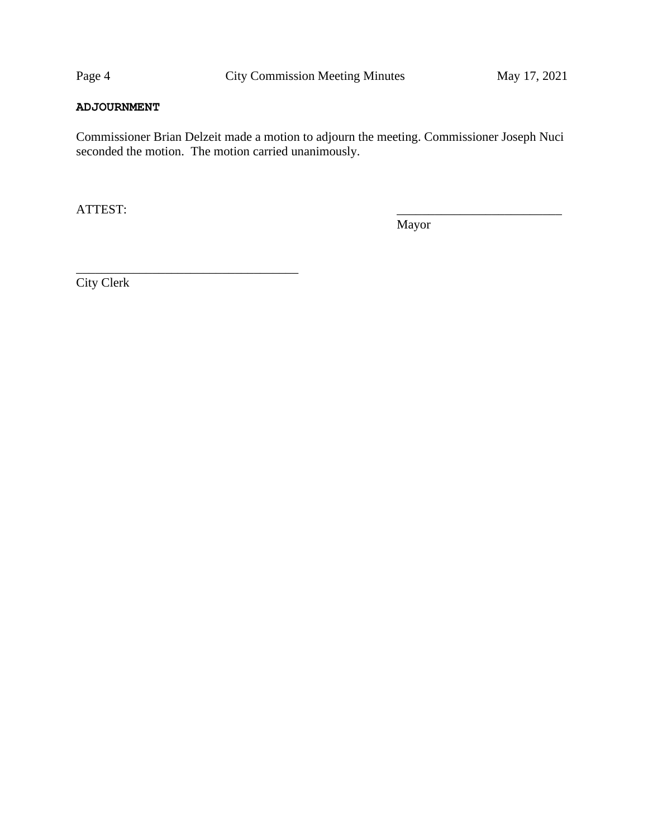#### **ADJOURNMENT**

Commissioner Brian Delzeit made a motion to adjourn the meeting. Commissioner Joseph Nuci seconded the motion. The motion carried unanimously.

ATTEST:

Mayor

City Clerk

\_\_\_\_\_\_\_\_\_\_\_\_\_\_\_\_\_\_\_\_\_\_\_\_\_\_\_\_\_\_\_\_\_\_\_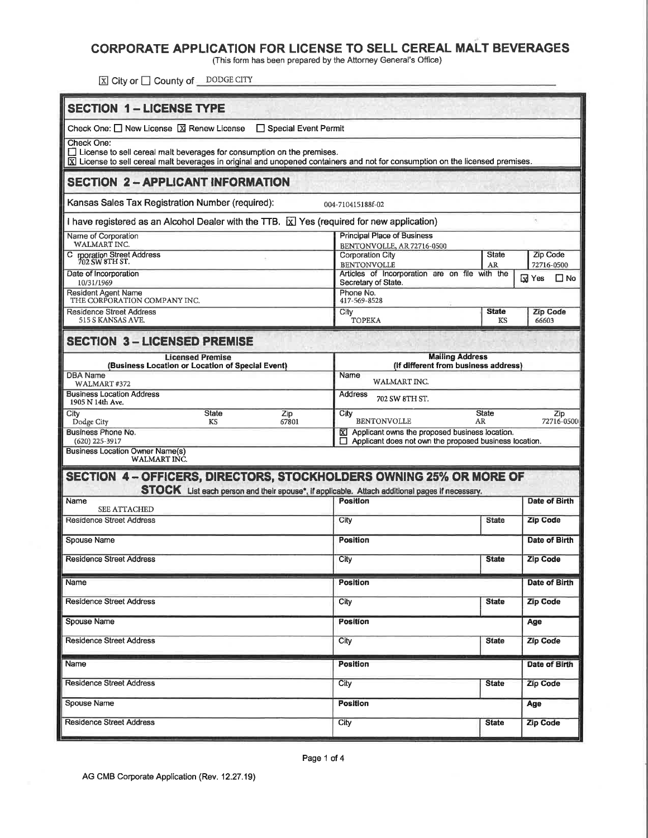## CORPORATE APPLICATION FOR LICENSE TO SELL CEREAL MALT BEVERAGES

(This form has been prepared by the Attorney General's Office)

区 City or □ County of DODGE CITY

| <b>SECTION 1-LICENSE TYPE</b>                                                                                                                                                                                  |                                                                                                            |                    |                          |  |  |  |  |  |
|----------------------------------------------------------------------------------------------------------------------------------------------------------------------------------------------------------------|------------------------------------------------------------------------------------------------------------|--------------------|--------------------------|--|--|--|--|--|
| Check One: $\Box$ New License $\Box$ Renew License<br>□ Special Event Permit                                                                                                                                   |                                                                                                            |                    |                          |  |  |  |  |  |
| Check One:                                                                                                                                                                                                     |                                                                                                            |                    |                          |  |  |  |  |  |
| $\Box$ License to sell cereal malt beverages for consumption on the premises.<br>X License to sell cereal malt beverages in original and unopened containers and not for consumption on the licensed premises. |                                                                                                            |                    |                          |  |  |  |  |  |
| <b>SECTION 2 - APPLICANT INFORMATION</b>                                                                                                                                                                       |                                                                                                            |                    |                          |  |  |  |  |  |
| Kansas Sales Tax Registration Number (required):                                                                                                                                                               | 004-710415188f-02                                                                                          |                    |                          |  |  |  |  |  |
| I have registered as an Alcohol Dealer with the TTB. $\boxed{\text{X}}$ Yes (required for new application)                                                                                                     |                                                                                                            |                    |                          |  |  |  |  |  |
| Name of Corporation<br>WALMART INC.                                                                                                                                                                            | <b>Principal Place of Business</b><br>BENTONVOLLE, AR 72716-0500                                           |                    |                          |  |  |  |  |  |
| C rporation Street Address<br>702 SW 8TH ST.                                                                                                                                                                   | Corporation City<br><b>BENTONVOLLE</b>                                                                     | <b>State</b><br>AR | Zip Code<br>72716-0500   |  |  |  |  |  |
| Date of Incorporation<br>10/31/1969                                                                                                                                                                            | Articles of Incorporation are on file with the<br>Secretary of State.                                      |                    | $\square$ No<br>⊡ Yes    |  |  |  |  |  |
| <b>Resident Agent Name</b><br>THE CORPORATION COMPANY INC.                                                                                                                                                     | Phone No.<br>417-569-8528                                                                                  |                    |                          |  |  |  |  |  |
| <b>Residence Street Address</b><br>515 S KANSAS AVE.                                                                                                                                                           | City<br><b>TOPEKA</b>                                                                                      | <b>State</b><br>KS | <b>Zip Code</b><br>66603 |  |  |  |  |  |
| <b>SECTION 3-LICENSED PREMISE</b>                                                                                                                                                                              |                                                                                                            |                    |                          |  |  |  |  |  |
| <b>Licensed Premise</b>                                                                                                                                                                                        | <b>Mailing Address</b>                                                                                     |                    |                          |  |  |  |  |  |
| (Business Location or Location of Special Event)<br><b>DBA Name</b>                                                                                                                                            | (If different from business address)<br>Name                                                               |                    |                          |  |  |  |  |  |
| WALMART #372<br><b>Business Location Address</b>                                                                                                                                                               | WALMART INC.<br>Address                                                                                    |                    |                          |  |  |  |  |  |
| 1905 N 14th Ave.<br><b>State</b><br>Zip<br>City                                                                                                                                                                | 702 SW 8TH ST.<br><b>State</b>                                                                             |                    |                          |  |  |  |  |  |
| Dodge City<br>67801<br>KS                                                                                                                                                                                      | City<br><b>BENTONVOLLE</b><br>AR.                                                                          | Zip<br>72716-0500  |                          |  |  |  |  |  |
| Business Phone No.<br>$(620)$ 225-3917                                                                                                                                                                         | X Applicant owns the proposed business location.<br>Applicant does not own the proposed business location. |                    |                          |  |  |  |  |  |
| <b>Business Location Owner Name(s)</b><br><b>WALMART INC.</b>                                                                                                                                                  |                                                                                                            |                    |                          |  |  |  |  |  |
| SECTION 4 - OFFICERS, DIRECTORS, STOCKHOLDERS OWNING 25% OR MORE OF                                                                                                                                            |                                                                                                            |                    |                          |  |  |  |  |  |
| STOCK List each person and their spouse*, if applicable. Attach additional pages if necessary.<br>Name                                                                                                         | <b>Position</b>                                                                                            |                    | Date of Birth            |  |  |  |  |  |
| SEE ATTACHED                                                                                                                                                                                                   |                                                                                                            |                    |                          |  |  |  |  |  |
| Residence Street Address                                                                                                                                                                                       | City<br><b>State</b>                                                                                       |                    | <b>Zip Code</b>          |  |  |  |  |  |
| Spouse Name                                                                                                                                                                                                    | <b>Position</b>                                                                                            |                    | Date of Birth            |  |  |  |  |  |
| <b>Residence Street Address</b>                                                                                                                                                                                | City                                                                                                       | <b>State</b>       | <b>Zip Code</b>          |  |  |  |  |  |
| Name                                                                                                                                                                                                           | <b>Position</b>                                                                                            |                    | Date of Birth            |  |  |  |  |  |
| <b>Residence Street Address</b>                                                                                                                                                                                | City                                                                                                       | <b>State</b>       | <b>Zip Code</b>          |  |  |  |  |  |
| <b>Spouse Name</b>                                                                                                                                                                                             | <b>Position</b>                                                                                            |                    | Age                      |  |  |  |  |  |
| <b>Residence Street Address</b>                                                                                                                                                                                | City                                                                                                       | <b>State</b>       | <b>Zip Code</b>          |  |  |  |  |  |
| Name                                                                                                                                                                                                           | Position                                                                                                   |                    | Date of Birth            |  |  |  |  |  |
| <b>Residence Street Address</b>                                                                                                                                                                                | City                                                                                                       | <b>State</b>       | <b>Zip Code</b>          |  |  |  |  |  |
| Spouse Name                                                                                                                                                                                                    | <b>Position</b>                                                                                            |                    | Age                      |  |  |  |  |  |
| <b>Residence Street Address</b>                                                                                                                                                                                | City                                                                                                       | <b>State</b>       | <b>Zip Code</b>          |  |  |  |  |  |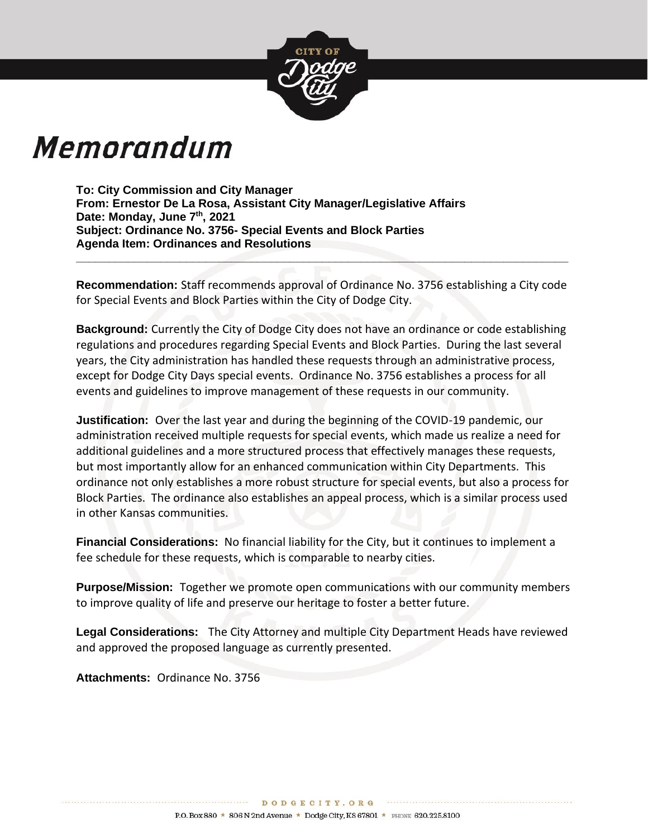

# Memorandum

**To: City Commission and City Manager From: Ernestor De La Rosa, Assistant City Manager/Legislative Affairs Date: Monday, June 7th, 2021 Subject: Ordinance No. 3756- Special Events and Block Parties Agenda Item: Ordinances and Resolutions** 

**Recommendation:** Staff recommends approval of Ordinance No. 3756 establishing a City code for Special Events and Block Parties within the City of Dodge City.

**\_\_\_\_\_\_\_\_\_\_\_\_\_\_\_\_\_\_\_\_\_\_\_\_\_\_\_\_\_\_\_\_\_\_\_\_\_\_\_\_\_\_\_\_\_\_\_\_\_\_\_\_\_\_\_\_\_\_\_\_\_\_\_\_\_\_\_\_\_\_\_\_\_\_\_\_**

**Background:** Currently the City of Dodge City does not have an ordinance or code establishing regulations and procedures regarding Special Events and Block Parties. During the last several years, the City administration has handled these requests through an administrative process, except for Dodge City Days special events. Ordinance No. 3756 establishes a process for all events and guidelines to improve management of these requests in our community.

**Justification:** Over the last year and during the beginning of the COVID-19 pandemic, our administration received multiple requests for special events, which made us realize a need for additional guidelines and a more structured process that effectively manages these requests, but most importantly allow for an enhanced communication within City Departments. This ordinance not only establishes a more robust structure for special events, but also a process for Block Parties. The ordinance also establishes an appeal process, which is a similar process used in other Kansas communities.

**Financial Considerations:** No financial liability for the City, but it continues to implement a fee schedule for these requests, which is comparable to nearby cities.

**Purpose/Mission:** Together we promote open communications with our community members to improve quality of life and preserve our heritage to foster a better future.

**Legal Considerations:** The City Attorney and multiple City Department Heads have reviewed and approved the proposed language as currently presented.

**Attachments:** Ordinance No. 3756

\*\*\*\*\*\*\*\*\*\*\*\*\*\*\*\*\*\*\*\*\*\*\*\*\*\*\*\*\*\*\*\*\*\*\*\*\*

DODGECITY. ORG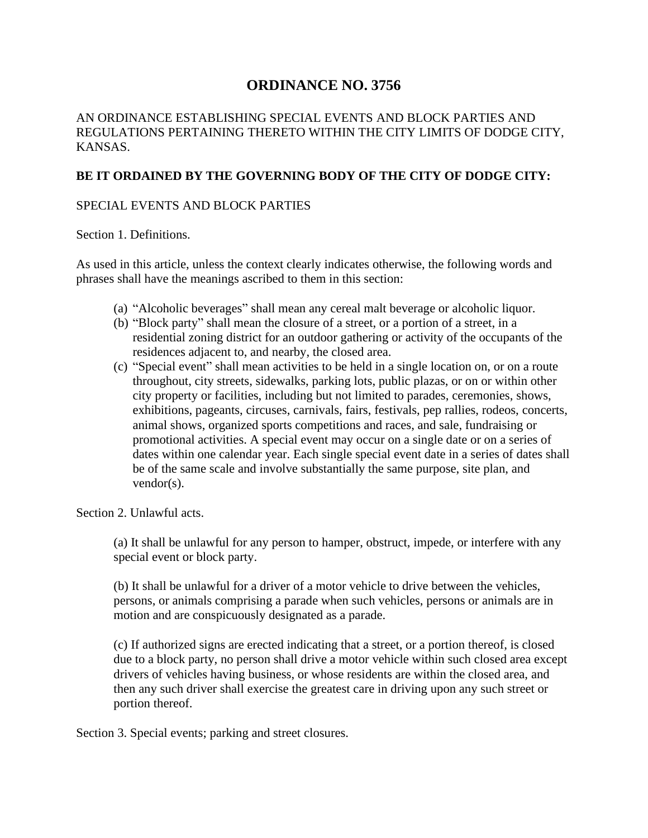## **ORDINANCE NO. 3756**

AN ORDINANCE ESTABLISHING SPECIAL EVENTS AND BLOCK PARTIES AND REGULATIONS PERTAINING THERETO WITHIN THE CITY LIMITS OF DODGE CITY, KANSAS.

### **BE IT ORDAINED BY THE GOVERNING BODY OF THE CITY OF DODGE CITY:**

#### SPECIAL EVENTS AND BLOCK PARTIES

Section 1. Definitions.

As used in this article, unless the context clearly indicates otherwise, the following words and phrases shall have the meanings ascribed to them in this section:

- (a) "Alcoholic beverages" shall mean any cereal malt beverage or alcoholic liquor.
- (b) "Block party" shall mean the closure of a street, or a portion of a street, in a residential zoning district for an outdoor gathering or activity of the occupants of the residences adjacent to, and nearby, the closed area.
- (c) "Special event" shall mean activities to be held in a single location on, or on a route throughout, city streets, sidewalks, parking lots, public plazas, or on or within other city property or facilities, including but not limited to parades, ceremonies, shows, exhibitions, pageants, circuses, carnivals, fairs, festivals, pep rallies, rodeos, concerts, animal shows, organized sports competitions and races, and sale, fundraising or promotional activities. A special event may occur on a single date or on a series of dates within one calendar year. Each single special event date in a series of dates shall be of the same scale and involve substantially the same purpose, site plan, and vendor(s).

Section 2. Unlawful acts.

(a) It shall be unlawful for any person to hamper, obstruct, impede, or interfere with any special event or block party.

(b) It shall be unlawful for a driver of a motor vehicle to drive between the vehicles, persons, or animals comprising a parade when such vehicles, persons or animals are in motion and are conspicuously designated as a parade.

(c) If authorized signs are erected indicating that a street, or a portion thereof, is closed due to a block party, no person shall drive a motor vehicle within such closed area except drivers of vehicles having business, or whose residents are within the closed area, and then any such driver shall exercise the greatest care in driving upon any such street or portion thereof.

Section 3. Special events; parking and street closures.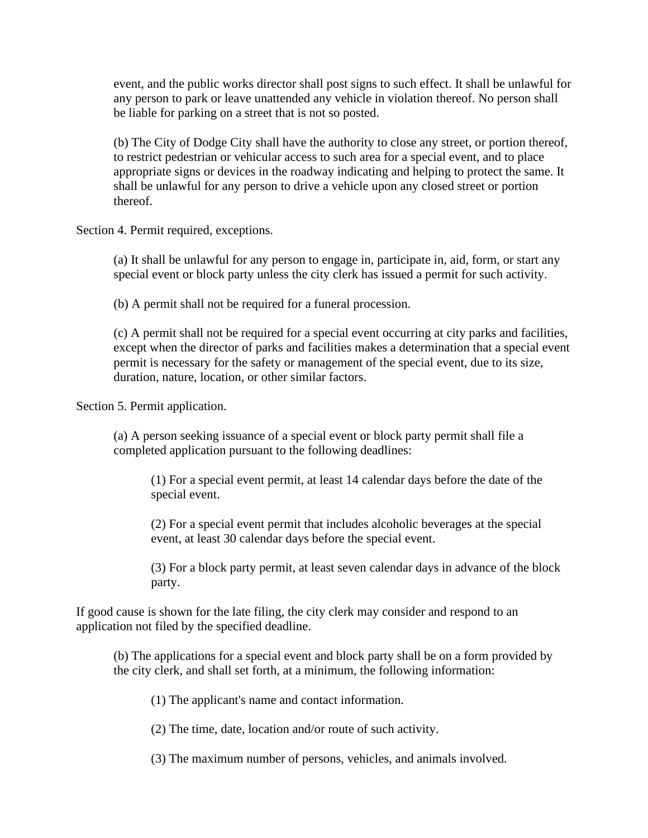event, and the public works director shall post signs to such effect. It shall be unlawful for any person to park or leave unattended any vehicle in violation thereof. No person shall be liable for parking on a street that is not so posted.

(b) The City of Dodge City shall have the authority to close any street, or portion thereof, to restrict pedestrian or vehicular access to such area for a special event, and to place appropriate signs or devices in the roadway indicating and helping to protect the same. It shall be unlawful for any person to drive a vehicle upon any closed street or portion thereof.

Section 4. Permit required, exceptions.

(a) It shall be unlawful for any person to engage in, participate in, aid, form, or start any special event or block party unless the city clerk has issued a permit for such activity.

(b) A permit shall not be required for a funeral procession.

(c) A permit shall not be required for a special event occurring at city parks and facilities, except when the director of parks and facilities makes a determination that a special event permit is necessary for the safety or management of the special event, due to its size, duration, nature, location, or other similar factors.

Section 5. Permit application.

(a) A person seeking issuance of a special event or block party permit shall file a completed application pursuant to the following deadlines:

(1) For a special event permit, at least 14 calendar days before the date of the special event.

(2) For a special event permit that includes alcoholic beverages at the special event, at least 30 calendar days before the special event.

(3) For a block party permit, at least seven calendar days in advance of the block party.

If good cause is shown for the late filing, the city clerk may consider and respond to an application not filed by the specified deadline.

(b) The applications for a special event and block party shall be on a form provided by the city clerk, and shall set forth, at a minimum, the following information:

(1) The applicant's name and contact information.

(2) The time, date, location and/or route of such activity.

(3) The maximum number of persons, vehicles, and animals involved.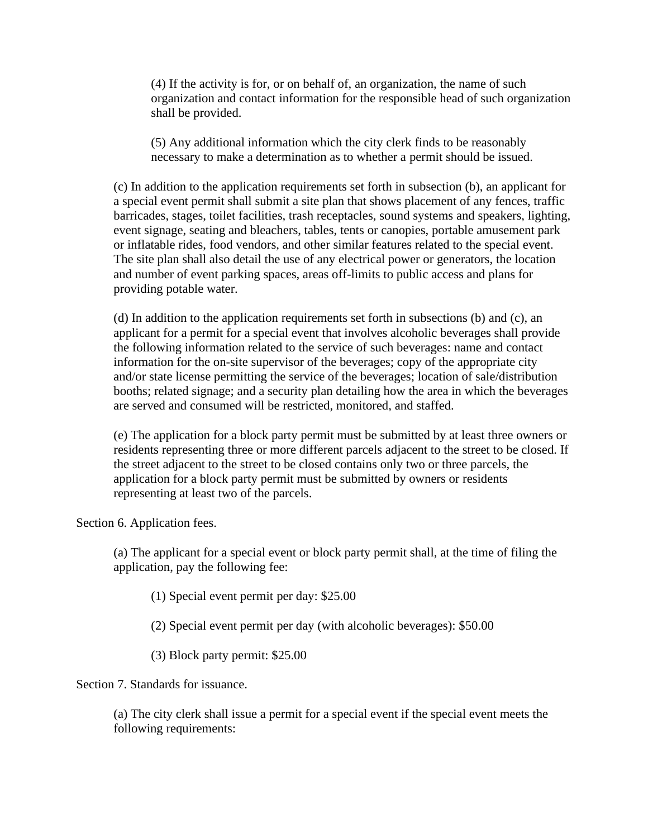(4) If the activity is for, or on behalf of, an organization, the name of such organization and contact information for the responsible head of such organization shall be provided.

(5) Any additional information which the city clerk finds to be reasonably necessary to make a determination as to whether a permit should be issued.

(c) In addition to the application requirements set forth in subsection (b), an applicant for a special event permit shall submit a site plan that shows placement of any fences, traffic barricades, stages, toilet facilities, trash receptacles, sound systems and speakers, lighting, event signage, seating and bleachers, tables, tents or canopies, portable amusement park or inflatable rides, food vendors, and other similar features related to the special event. The site plan shall also detail the use of any electrical power or generators, the location and number of event parking spaces, areas off-limits to public access and plans for providing potable water.

(d) In addition to the application requirements set forth in subsections (b) and (c), an applicant for a permit for a special event that involves alcoholic beverages shall provide the following information related to the service of such beverages: name and contact information for the on-site supervisor of the beverages; copy of the appropriate city and/or state license permitting the service of the beverages; location of sale/distribution booths; related signage; and a security plan detailing how the area in which the beverages are served and consumed will be restricted, monitored, and staffed.

(e) The application for a block party permit must be submitted by at least three owners or residents representing three or more different parcels adjacent to the street to be closed. If the street adjacent to the street to be closed contains only two or three parcels, the application for a block party permit must be submitted by owners or residents representing at least two of the parcels.

Section 6. Application fees.

(a) The applicant for a special event or block party permit shall, at the time of filing the application, pay the following fee:

(1) Special event permit per day: \$25.00

(2) Special event permit per day (with alcoholic beverages): \$50.00

(3) Block party permit: \$25.00

Section 7. Standards for issuance.

(a) The city clerk shall issue a permit for a special event if the special event meets the following requirements: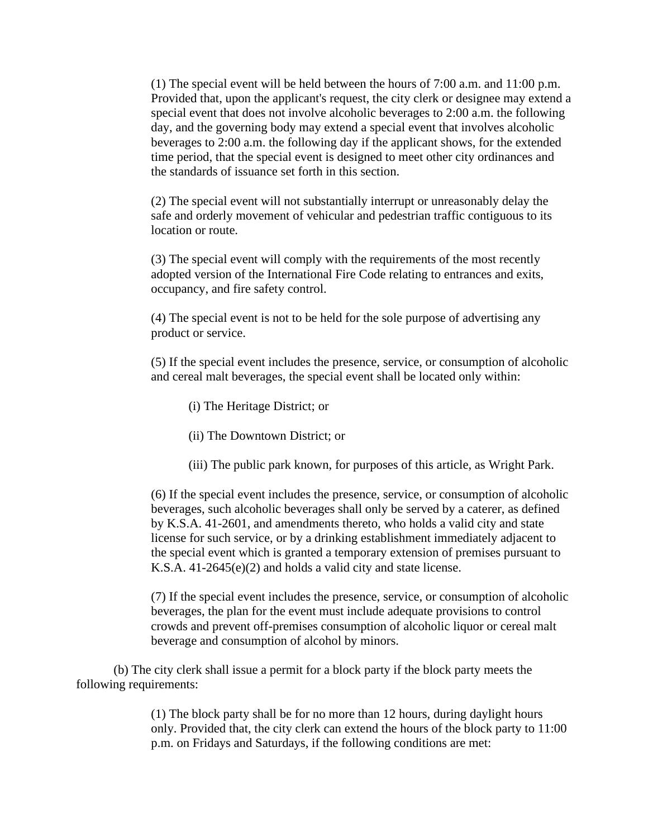(1) The special event will be held between the hours of 7:00 a.m. and 11:00 p.m. Provided that, upon the applicant's request, the city clerk or designee may extend a special event that does not involve alcoholic beverages to 2:00 a.m. the following day, and the governing body may extend a special event that involves alcoholic beverages to 2:00 a.m. the following day if the applicant shows, for the extended time period, that the special event is designed to meet other city ordinances and the standards of issuance set forth in this section.

(2) The special event will not substantially interrupt or unreasonably delay the safe and orderly movement of vehicular and pedestrian traffic contiguous to its location or route.

(3) The special event will comply with the requirements of the most recently adopted version of the International Fire Code relating to entrances and exits, occupancy, and fire safety control.

(4) The special event is not to be held for the sole purpose of advertising any product or service.

(5) If the special event includes the presence, service, or consumption of alcoholic and cereal malt beverages, the special event shall be located only within:

- (i) The Heritage District; or
- (ii) The Downtown District; or
- (iii) The public park known, for purposes of this article, as Wright Park.

(6) If the special event includes the presence, service, or consumption of alcoholic beverages, such alcoholic beverages shall only be served by a caterer, as defined by K.S.A. 41-2601, and amendments thereto, who holds a valid city and state license for such service, or by a drinking establishment immediately adjacent to the special event which is granted a temporary extension of premises pursuant to K.S.A. 41-2645(e)(2) and holds a valid city and state license.

(7) If the special event includes the presence, service, or consumption of alcoholic beverages, the plan for the event must include adequate provisions to control crowds and prevent off-premises consumption of alcoholic liquor or cereal malt beverage and consumption of alcohol by minors.

(b) The city clerk shall issue a permit for a block party if the block party meets the following requirements:

> (1) The block party shall be for no more than 12 hours, during daylight hours only. Provided that, the city clerk can extend the hours of the block party to 11:00 p.m. on Fridays and Saturdays, if the following conditions are met: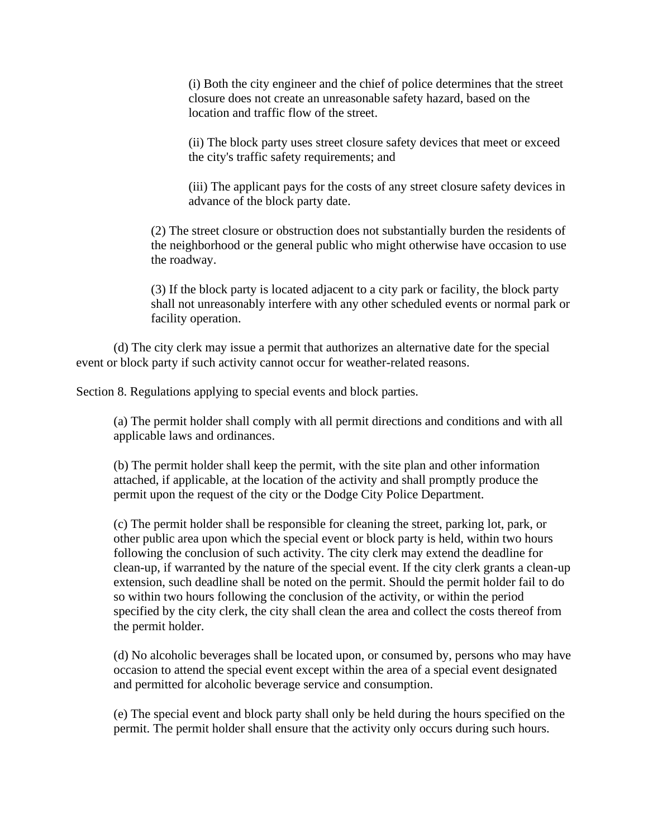(i) Both the city engineer and the chief of police determines that the street closure does not create an unreasonable safety hazard, based on the location and traffic flow of the street.

(ii) The block party uses street closure safety devices that meet or exceed the city's traffic safety requirements; and

(iii) The applicant pays for the costs of any street closure safety devices in advance of the block party date.

(2) The street closure or obstruction does not substantially burden the residents of the neighborhood or the general public who might otherwise have occasion to use the roadway.

(3) If the block party is located adjacent to a city park or facility, the block party shall not unreasonably interfere with any other scheduled events or normal park or facility operation.

(d) The city clerk may issue a permit that authorizes an alternative date for the special event or block party if such activity cannot occur for weather-related reasons.

Section 8. Regulations applying to special events and block parties.

(a) The permit holder shall comply with all permit directions and conditions and with all applicable laws and ordinances.

(b) The permit holder shall keep the permit, with the site plan and other information attached, if applicable, at the location of the activity and shall promptly produce the permit upon the request of the city or the Dodge City Police Department.

(c) The permit holder shall be responsible for cleaning the street, parking lot, park, or other public area upon which the special event or block party is held, within two hours following the conclusion of such activity. The city clerk may extend the deadline for clean-up, if warranted by the nature of the special event. If the city clerk grants a clean-up extension, such deadline shall be noted on the permit. Should the permit holder fail to do so within two hours following the conclusion of the activity, or within the period specified by the city clerk, the city shall clean the area and collect the costs thereof from the permit holder.

(d) No alcoholic beverages shall be located upon, or consumed by, persons who may have occasion to attend the special event except within the area of a special event designated and permitted for alcoholic beverage service and consumption.

(e) The special event and block party shall only be held during the hours specified on the permit. The permit holder shall ensure that the activity only occurs during such hours.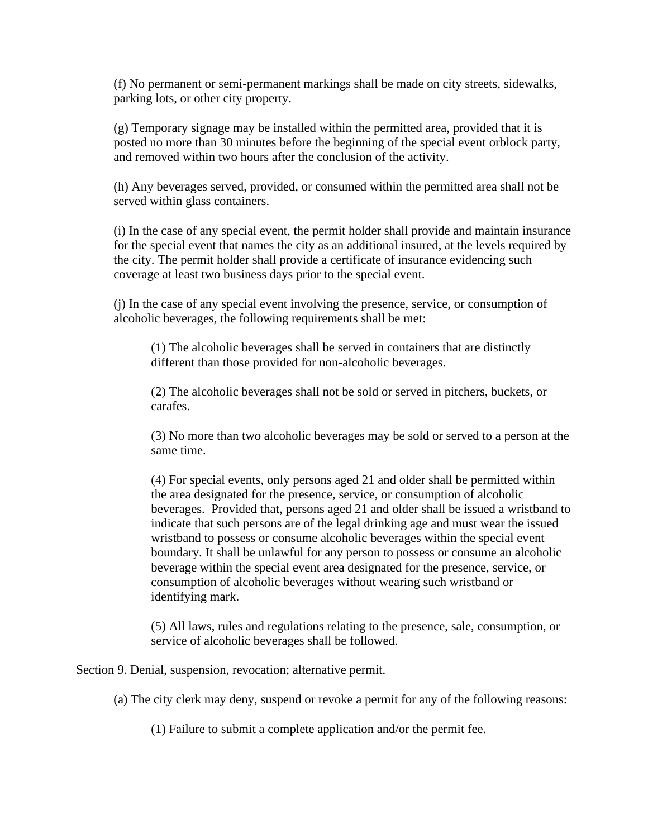(f) No permanent or semi-permanent markings shall be made on city streets, sidewalks, parking lots, or other city property.

(g) Temporary signage may be installed within the permitted area, provided that it is posted no more than 30 minutes before the beginning of the special event orblock party, and removed within two hours after the conclusion of the activity.

(h) Any beverages served, provided, or consumed within the permitted area shall not be served within glass containers.

(i) In the case of any special event, the permit holder shall provide and maintain insurance for the special event that names the city as an additional insured, at the levels required by the city. The permit holder shall provide a certificate of insurance evidencing such coverage at least two business days prior to the special event.

(j) In the case of any special event involving the presence, service, or consumption of alcoholic beverages, the following requirements shall be met:

(1) The alcoholic beverages shall be served in containers that are distinctly different than those provided for non-alcoholic beverages.

(2) The alcoholic beverages shall not be sold or served in pitchers, buckets, or carafes.

(3) No more than two alcoholic beverages may be sold or served to a person at the same time.

(4) For special events, only persons aged 21 and older shall be permitted within the area designated for the presence, service, or consumption of alcoholic beverages. Provided that, persons aged 21 and older shall be issued a wristband to indicate that such persons are of the legal drinking age and must wear the issued wristband to possess or consume alcoholic beverages within the special event boundary. It shall be unlawful for any person to possess or consume an alcoholic beverage within the special event area designated for the presence, service, or consumption of alcoholic beverages without wearing such wristband or identifying mark.

(5) All laws, rules and regulations relating to the presence, sale, consumption, or service of alcoholic beverages shall be followed.

Section 9. Denial, suspension, revocation; alternative permit.

(a) The city clerk may deny, suspend or revoke a permit for any of the following reasons:

(1) Failure to submit a complete application and/or the permit fee.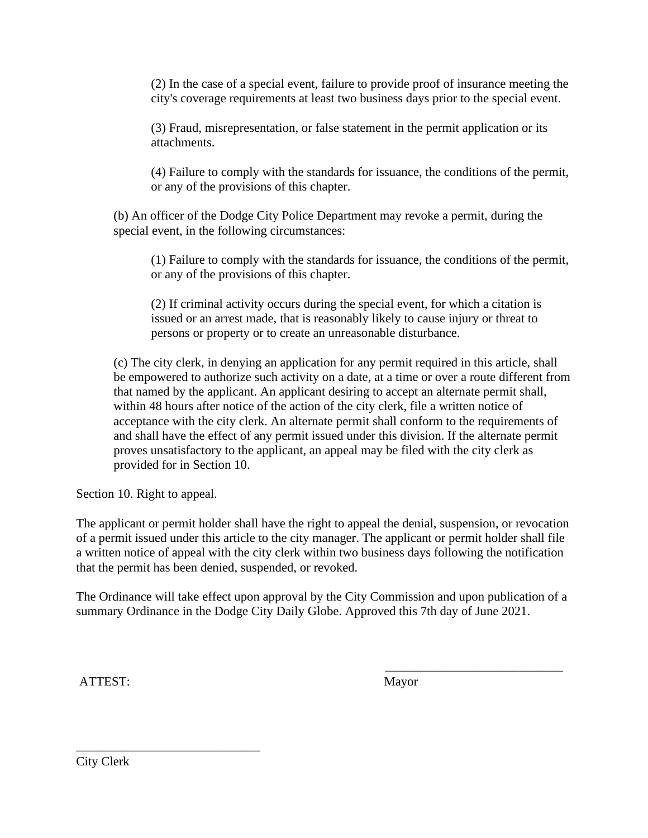(2) In the case of a special event, failure to provide proof of insurance meeting the city's coverage requirements at least two business days prior to the special event.

(3) Fraud, misrepresentation, or false statement in the permit application or its attachments.

(4) Failure to comply with the standards for issuance, the conditions of the permit, or any of the provisions of this chapter.

(b) An officer of the Dodge City Police Department may revoke a permit, during the special event, in the following circumstances:

(1) Failure to comply with the standards for issuance, the conditions of the permit, or any of the provisions of this chapter.

(2) If criminal activity occurs during the special event, for which a citation is issued or an arrest made, that is reasonably likely to cause injury or threat to persons or property or to create an unreasonable disturbance.

(c) The city clerk, in denying an application for any permit required in this article, shall be empowered to authorize such activity on a date, at a time or over a route different from that named by the applicant. An applicant desiring to accept an alternate permit shall, within 48 hours after notice of the action of the city clerk, file a written notice of acceptance with the city clerk. An alternate permit shall conform to the requirements of and shall have the effect of any permit issued under this division. If the alternate permit proves unsatisfactory to the applicant, an appeal may be filed with the city clerk as provided for in Section 10.

Section 10. Right to appeal.

The applicant or permit holder shall have the right to appeal the denial, suspension, or revocation of a permit issued under this article to the city manager. The applicant or permit holder shall file a written notice of appeal with the city clerk within two business days following the notification that the permit has been denied, suspended, or revoked.

The Ordinance will take effect upon approval by the City Commission and upon publication of a summary Ordinance in the Dodge City Daily Globe. Approved this 7th day of June 2021.

ATTEST: Mayor

 $\overline{\phantom{a}}$  , and the contract of the contract of the contract of the contract of the contract of the contract of the contract of the contract of the contract of the contract of the contract of the contract of the contrac

City Clerk

\_\_\_\_\_\_\_\_\_\_\_\_\_\_\_\_\_\_\_\_\_\_\_\_\_\_\_\_\_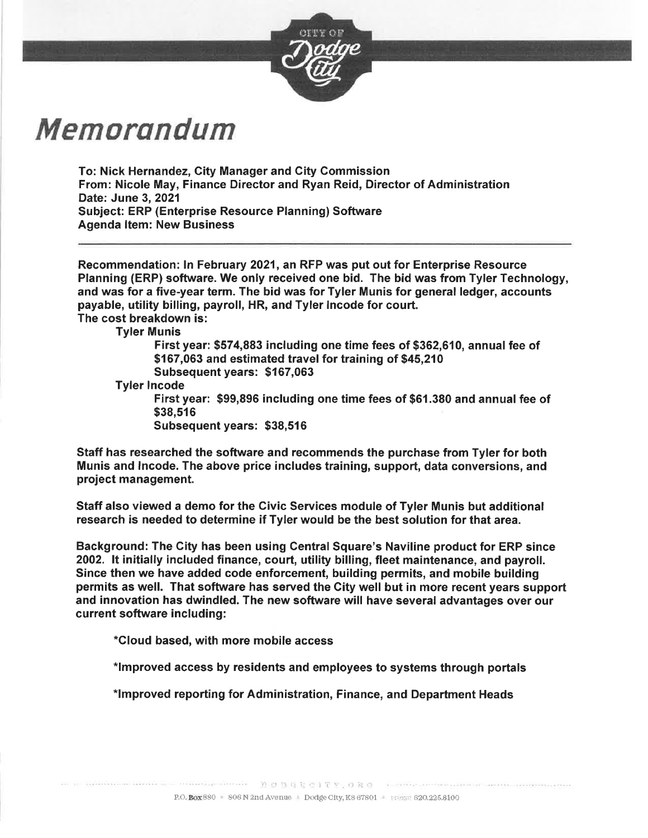

# Memorandum

To: Nick Hernandez, City Manager and City Commission From: Nicole May, Finance Director and Ryan Reid, Director of Administration Date: June 3, 2021 Subiect: ERP (Enterprise Resource Planning) Software **Agenda Item: New Business** 

Recommendation: In February 2021, an RFP was put out for Enterprise Resource Planning (ERP) software. We only received one bid. The bid was from Tyler Technology, and was for a five-year term. The bid was for Tyler Munis for general ledger, accounts payable, utility billing, payroll, HR, and Tyler Incode for court. The cost breakdown is:

**Tyler Munis** 

First year: \$574,883 including one time fees of \$362,610, annual fee of \$167,063 and estimated travel for training of \$45,210 Subsequent years: \$167,063

**Tyler Incode** 

First year: \$99,896 including one time fees of \$61.380 and annual fee of \$38.516

Subsequent years: \$38,516

Staff has researched the software and recommends the purchase from Tyler for both Munis and Incode. The above price includes training, support, data conversions, and project management.

Staff also viewed a demo for the Civic Services module of Tyler Munis but additional research is needed to determine if Tyler would be the best solution for that area.

Background: The City has been using Central Square's Naviline product for ERP since 2002. It initially included finance, court, utility billing, fleet maintenance, and payroll. Since then we have added code enforcement, building permits, and mobile building permits as well. That software has served the City well but in more recent years support and innovation has dwindled. The new software will have several advantages over our current software including:

\*Cloud based, with more mobile access

\*Improved access by residents and employees to systems through portals

\*Improved reporting for Administration, Finance, and Department Heads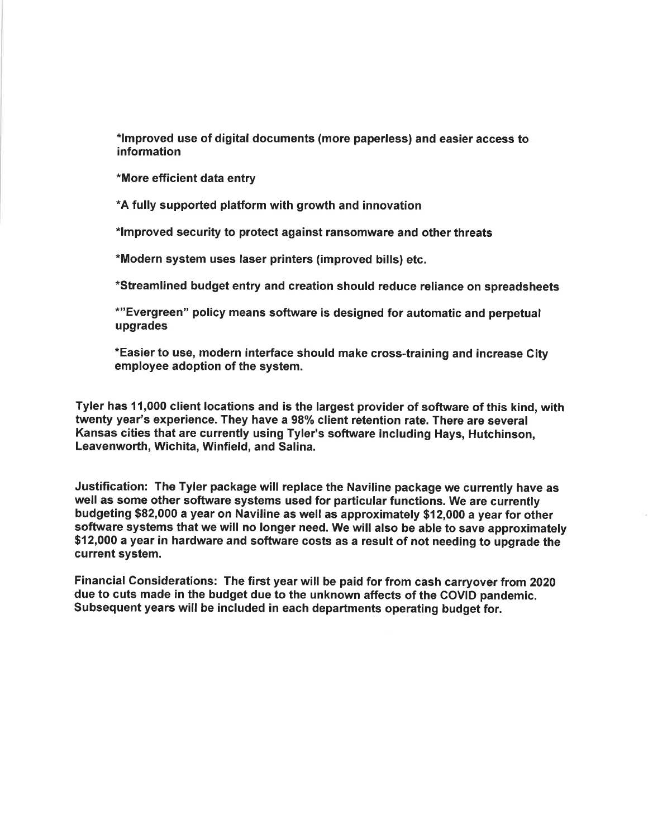\*Improved use of digital documents (more paperless) and easier access to information

\*More efficient data entry

\*A fully supported platform with growth and innovation

\*Improved security to protect against ransomware and other threats

\*Modern system uses laser printers (improved bills) etc.

\*Streamlined budget entry and creation should reduce reliance on spreadsheets

\*"Evergreen" policy means software is designed for automatic and perpetual upgrades

\*Easier to use, modern interface should make cross-training and increase City employee adoption of the system.

Tyler has 11,000 client locations and is the largest provider of software of this kind, with twenty year's experience. They have a 98% client retention rate. There are several Kansas cities that are currently using Tyler's software including Hays, Hutchinson, Leavenworth, Wichita, Winfield, and Salina.

Justification: The Tyler package will replace the Naviline package we currently have as well as some other software systems used for particular functions. We are currently budgeting \$82,000 a year on Naviline as well as approximately \$12,000 a year for other software systems that we will no longer need. We will also be able to save approximately \$12,000 a year in hardware and software costs as a result of not needing to upgrade the current system.

Financial Considerations: The first year will be paid for from cash carryover from 2020 due to cuts made in the budget due to the unknown affects of the COVID pandemic. Subsequent years will be included in each departments operating budget for.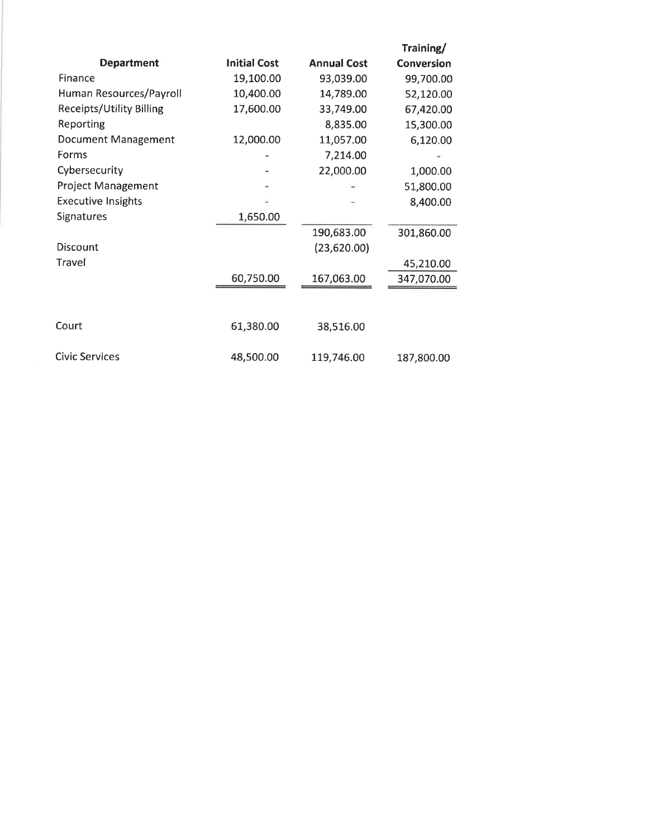|                            |                     |                    | Training/         |
|----------------------------|---------------------|--------------------|-------------------|
| <b>Department</b>          | <b>Initial Cost</b> | <b>Annual Cost</b> | <b>Conversion</b> |
| Finance                    | 19,100.00           | 93,039.00          | 99,700.00         |
| Human Resources/Payroll    | 10,400.00           | 14,789.00          | 52,120.00         |
| Receipts/Utility Billing   | 17,600.00           | 33,749.00          | 67,420.00         |
| Reporting                  |                     | 8,835.00           | 15,300.00         |
| <b>Document Management</b> | 12,000.00           | 11,057.00          | 6,120.00          |
| Forms                      |                     | 7,214.00           |                   |
| Cybersecurity              |                     | 22,000.00          | 1,000.00          |
| <b>Project Management</b>  |                     |                    | 51,800.00         |
| <b>Executive Insights</b>  |                     |                    | 8,400.00          |
| Signatures                 | 1,650.00            |                    |                   |
|                            |                     | 190,683.00         | 301,860.00        |
| Discount                   |                     | (23,620.00)        |                   |
| Travel                     |                     |                    | 45,210.00         |
|                            | 60,750.00           | 167,063.00         | 347,070.00        |
|                            |                     |                    |                   |
| Court                      | 61,380.00           | 38,516.00          |                   |
| <b>Civic Services</b>      | 48,500.00           | 119,746.00         | 187,800.00        |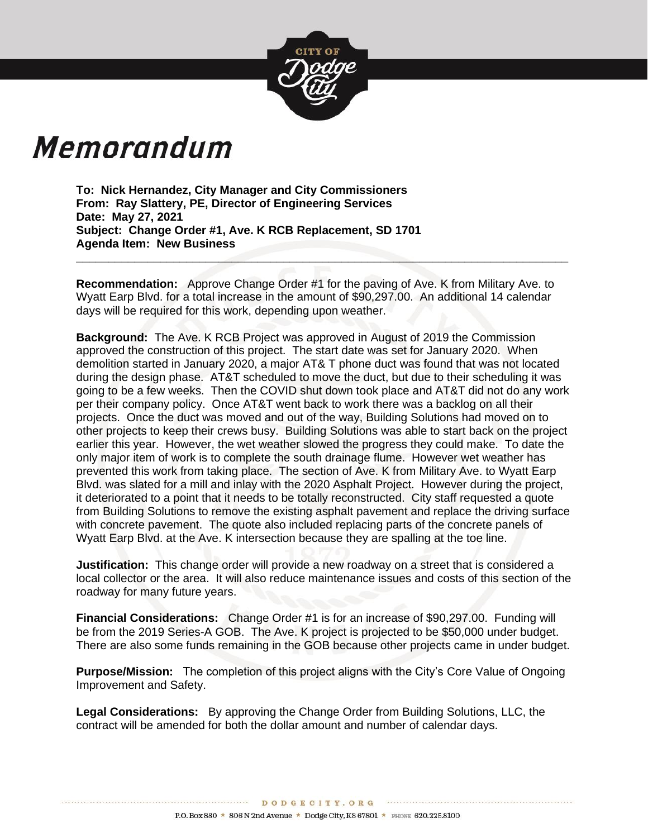

# Memorandum

**To: Nick Hernandez, City Manager and City Commissioners From: Ray Slattery, PE, Director of Engineering Services Date: May 27, 2021 Subject: Change Order #1, Ave. K RCB Replacement, SD 1701 Agenda Item: New Business**

**Recommendation:** Approve Change Order #1 for the paving of Ave. K from Military Ave. to Wyatt Earp Blvd. for a total increase in the amount of \$90,297.00. An additional 14 calendar days will be required for this work, depending upon weather.

**\_\_\_\_\_\_\_\_\_\_\_\_\_\_\_\_\_\_\_\_\_\_\_\_\_\_\_\_\_\_\_\_\_\_\_\_\_\_\_\_\_\_\_\_\_\_\_\_\_\_\_\_\_\_\_\_\_\_\_\_\_\_\_\_\_\_\_\_\_\_\_\_\_\_\_\_**

**Background:** The Ave. K RCB Project was approved in August of 2019 the Commission approved the construction of this project. The start date was set for January 2020. When demolition started in January 2020, a major AT& T phone duct was found that was not located during the design phase. AT&T scheduled to move the duct, but due to their scheduling it was going to be a few weeks. Then the COVID shut down took place and AT&T did not do any work per their company policy. Once AT&T went back to work there was a backlog on all their projects. Once the duct was moved and out of the way, Building Solutions had moved on to other projects to keep their crews busy. Building Solutions was able to start back on the project earlier this year. However, the wet weather slowed the progress they could make. To date the only major item of work is to complete the south drainage flume. However wet weather has prevented this work from taking place. The section of Ave. K from Military Ave. to Wyatt Earp Blvd. was slated for a mill and inlay with the 2020 Asphalt Project. However during the project, it deteriorated to a point that it needs to be totally reconstructed. City staff requested a quote from Building Solutions to remove the existing asphalt pavement and replace the driving surface with concrete pavement. The quote also included replacing parts of the concrete panels of Wyatt Earp Blvd. at the Ave. K intersection because they are spalling at the toe line.

**Justification:** This change order will provide a new roadway on a street that is considered a local collector or the area. It will also reduce maintenance issues and costs of this section of the roadway for many future years.

**Financial Considerations:** Change Order #1 is for an increase of \$90,297.00. Funding will be from the 2019 Series-A GOB. The Ave. K project is projected to be \$50,000 under budget. There are also some funds remaining in the GOB because other projects came in under budget.

**Purpose/Mission:** The completion of this project aligns with the City's Core Value of Ongoing Improvement and Safety.

**Legal Considerations:** By approving the Change Order from Building Solutions, LLC, the contract will be amended for both the dollar amount and number of calendar days.

DODGECITY.ORG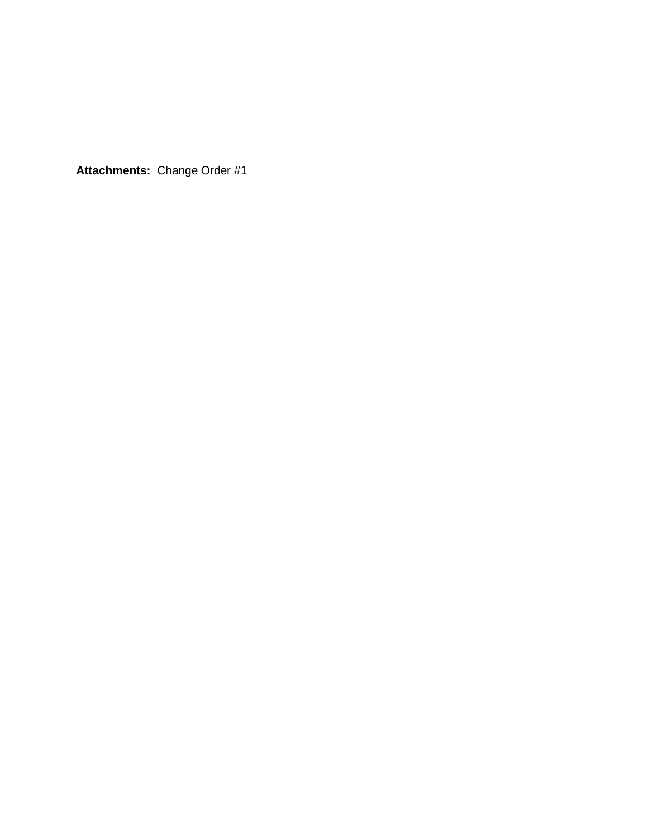**Attachments:** Change Order #1